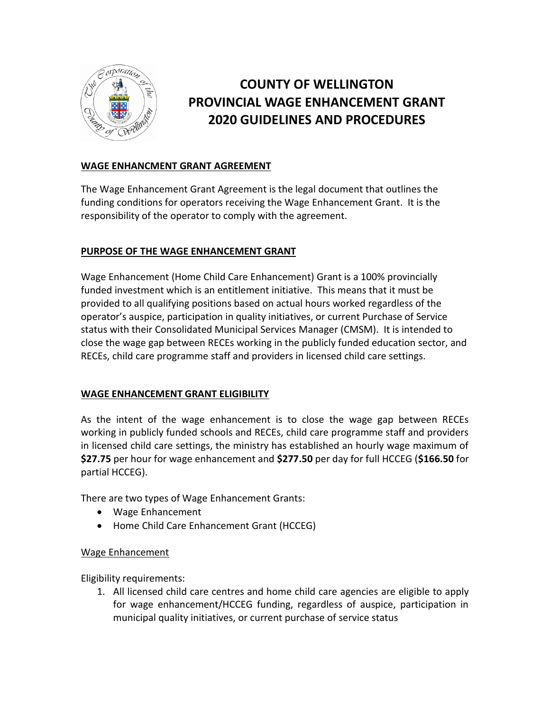

# **COUNTY OF WELLINGTON PROVINCIAL WAGE ENHANCEMENT GRANT 2020 GUIDELINES AND PROCEDURES**

## **WAGE ENHANCMENT GRANT AGREEMENT**

The Wage Enhancement Grant Agreement is the legal document that outlines the funding conditions for operators receiving the Wage Enhancement Grant. It is the responsibility of the operator to comply with the agreement.

## **PURPOSE OF THE WAGE ENHANCEMENT GRANT**

Wage Enhancement (Home Child Care Enhancement) Grant is a 100% provincially funded investment which is an entitlement initiative. This means that it must be provided to all qualifying positions based on actual hours worked regardless of the operator's auspice, participation in quality initiatives, or current Purchase of Service status with their Consolidated Municipal Services Manager (CMSM). It is intended to close the wage gap between RECEs working in the publicly funded education sector, and RECEs, child care programme staff and providers in licensed child care settings.

### **WAGE ENHANCEMENT GRANT ELIGIBILITY**

As the intent of the wage enhancement is to close the wage gap between RECEs working in publicly funded schools and RECEs, child care programme staff and providers in licensed child care settings, the ministry has established an hourly wage maximum of **\$27.75** per hour for wage enhancement and **\$277.50** per day for full HCCEG (**\$166.50** for partial HCCEG).

There are two types of Wage Enhancement Grants:

- Wage Enhancement
- Home Child Care Enhancement Grant (HCCEG)

### Wage Enhancement

Eligibility requirements:

1. All licensed child care centres and home child care agencies are eligible to apply for wage enhancement/HCCEG funding, regardless of auspice, participation in municipal quality initiatives, or current purchase of service status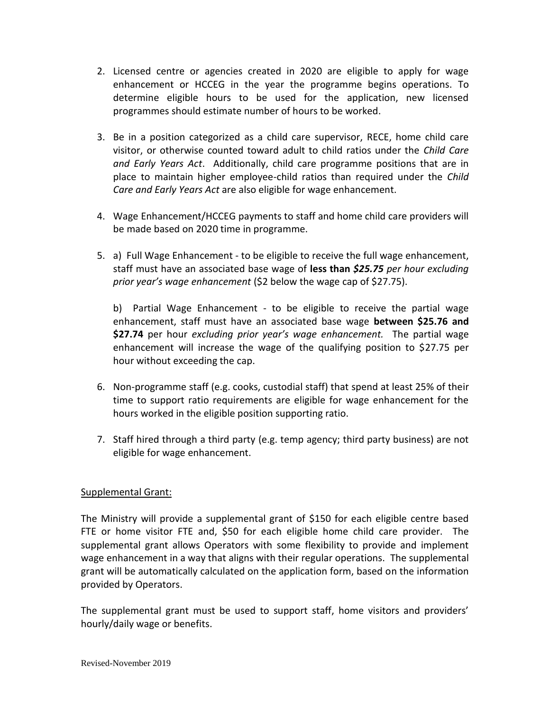- 2. Licensed centre or agencies created in 2020 are eligible to apply for wage enhancement or HCCEG in the year the programme begins operations. To determine eligible hours to be used for the application, new licensed programmes should estimate number of hours to be worked.
- 3. Be in a position categorized as a child care supervisor, RECE, home child care visitor, or otherwise counted toward adult to child ratios under the *Child Care and Early Years Act*. Additionally, child care programme positions that are in place to maintain higher employee-child ratios than required under the *Child Care and Early Years Act* are also eligible for wage enhancement.
- 4. Wage Enhancement/HCCEG payments to staff and home child care providers will be made based on 2020 time in programme.
- 5. a) Full Wage Enhancement to be eligible to receive the full wage enhancement, staff must have an associated base wage of **less than** *\$25.75 per hour excluding prior year's wage enhancement* (\$2 below the wage cap of \$27.75).

b) Partial Wage Enhancement - to be eligible to receive the partial wage enhancement, staff must have an associated base wage **between \$25.76 and \$27.74** per hour *excluding prior year's wage enhancement.* The partial wage enhancement will increase the wage of the qualifying position to \$27.75 per hour without exceeding the cap.

- 6. Non-programme staff (e.g. cooks, custodial staff) that spend at least 25% of their time to support ratio requirements are eligible for wage enhancement for the hours worked in the eligible position supporting ratio.
- 7. Staff hired through a third party (e.g. temp agency; third party business) are not eligible for wage enhancement.

### Supplemental Grant:

The Ministry will provide a supplemental grant of \$150 for each eligible centre based FTE or home visitor FTE and, \$50 for each eligible home child care provider. The supplemental grant allows Operators with some flexibility to provide and implement wage enhancement in a way that aligns with their regular operations. The supplemental grant will be automatically calculated on the application form, based on the information provided by Operators.

The supplemental grant must be used to support staff, home visitors and providers' hourly/daily wage or benefits.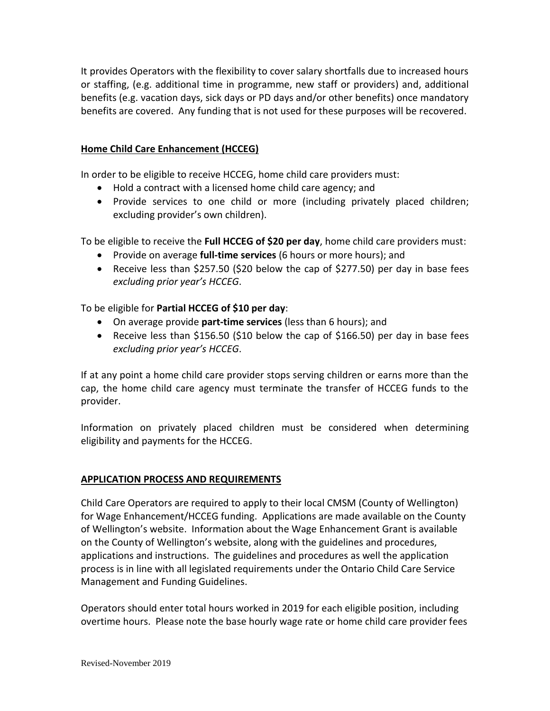It provides Operators with the flexibility to cover salary shortfalls due to increased hours or staffing, (e.g. additional time in programme, new staff or providers) and, additional benefits (e.g. vacation days, sick days or PD days and/or other benefits) once mandatory benefits are covered. Any funding that is not used for these purposes will be recovered.

#### **Home Child Care Enhancement (HCCEG)**

In order to be eligible to receive HCCEG, home child care providers must:

- Hold a contract with a licensed home child care agency; and
- Provide services to one child or more (including privately placed children; excluding provider's own children).

To be eligible to receive the **Full HCCEG of \$20 per day**, home child care providers must:

- Provide on average **full-time services** (6 hours or more hours); and
- Receive less than \$257.50 (\$20 below the cap of \$277.50) per day in base fees *excluding prior year's HCCEG*.

To be eligible for **Partial HCCEG of \$10 per day**:

- On average provide **part-time services** (less than 6 hours); and
- Receive less than \$156.50 (\$10 below the cap of \$166.50) per day in base fees *excluding prior year's HCCEG*.

If at any point a home child care provider stops serving children or earns more than the cap, the home child care agency must terminate the transfer of HCCEG funds to the provider.

Information on privately placed children must be considered when determining eligibility and payments for the HCCEG.

### **APPLICATION PROCESS AND REQUIREMENTS**

Child Care Operators are required to apply to their local CMSM (County of Wellington) for Wage Enhancement/HCCEG funding. Applications are made available on the County of Wellington's website. Information about the Wage Enhancement Grant is available on the County of Wellington's website, along with the guidelines and procedures, applications and instructions. The guidelines and procedures as well the application process is in line with all legislated requirements under the Ontario Child Care Service Management and Funding Guidelines.

Operators should enter total hours worked in 2019 for each eligible position, including overtime hours. Please note the base hourly wage rate or home child care provider fees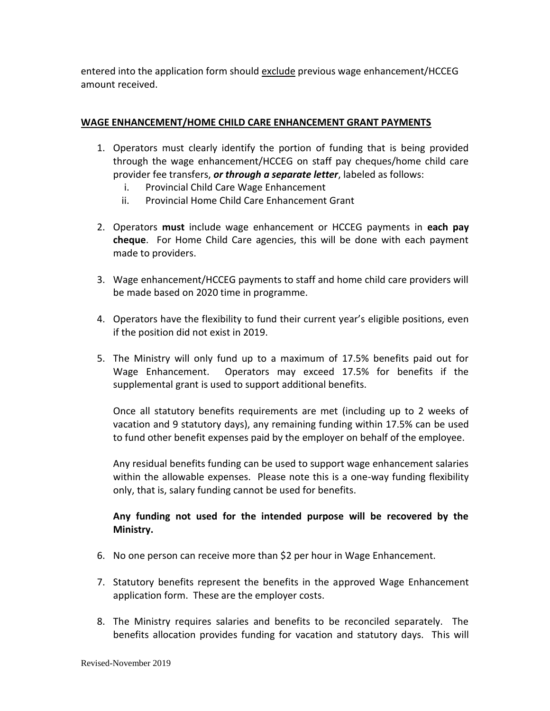entered into the application form should exclude previous wage enhancement/HCCEG amount received.

## **WAGE ENHANCEMENT/HOME CHILD CARE ENHANCEMENT GRANT PAYMENTS**

- 1. Operators must clearly identify the portion of funding that is being provided through the wage enhancement/HCCEG on staff pay cheques/home child care provider fee transfers, *or through a separate letter*, labeled as follows:
	- i. Provincial Child Care Wage Enhancement
	- ii. Provincial Home Child Care Enhancement Grant
- 2. Operators **must** include wage enhancement or HCCEG payments in **each pay cheque**. For Home Child Care agencies, this will be done with each payment made to providers.
- 3. Wage enhancement/HCCEG payments to staff and home child care providers will be made based on 2020 time in programme.
- 4. Operators have the flexibility to fund their current year's eligible positions, even if the position did not exist in 2019.
- 5. The Ministry will only fund up to a maximum of 17.5% benefits paid out for Wage Enhancement. Operators may exceed 17.5% for benefits if the supplemental grant is used to support additional benefits.

Once all statutory benefits requirements are met (including up to 2 weeks of vacation and 9 statutory days), any remaining funding within 17.5% can be used to fund other benefit expenses paid by the employer on behalf of the employee.

Any residual benefits funding can be used to support wage enhancement salaries within the allowable expenses. Please note this is a one-way funding flexibility only, that is, salary funding cannot be used for benefits.

## **Any funding not used for the intended purpose will be recovered by the Ministry.**

- 6. No one person can receive more than \$2 per hour in Wage Enhancement.
- 7. Statutory benefits represent the benefits in the approved Wage Enhancement application form. These are the employer costs.
- 8. The Ministry requires salaries and benefits to be reconciled separately. The benefits allocation provides funding for vacation and statutory days. This will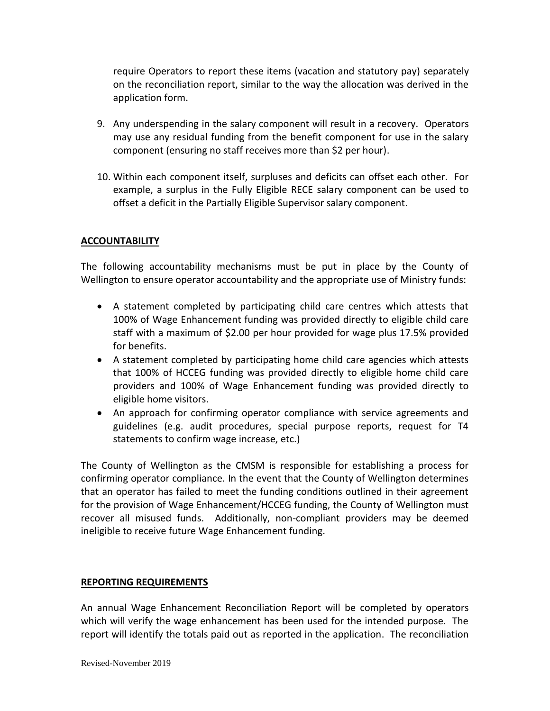require Operators to report these items (vacation and statutory pay) separately on the reconciliation report, similar to the way the allocation was derived in the application form.

- 9. Any underspending in the salary component will result in a recovery. Operators may use any residual funding from the benefit component for use in the salary component (ensuring no staff receives more than \$2 per hour).
- 10. Within each component itself, surpluses and deficits can offset each other. For example, a surplus in the Fully Eligible RECE salary component can be used to offset a deficit in the Partially Eligible Supervisor salary component.

#### **ACCOUNTABILITY**

The following accountability mechanisms must be put in place by the County of Wellington to ensure operator accountability and the appropriate use of Ministry funds:

- A statement completed by participating child care centres which attests that 100% of Wage Enhancement funding was provided directly to eligible child care staff with a maximum of \$2.00 per hour provided for wage plus 17.5% provided for benefits.
- A statement completed by participating home child care agencies which attests that 100% of HCCEG funding was provided directly to eligible home child care providers and 100% of Wage Enhancement funding was provided directly to eligible home visitors.
- An approach for confirming operator compliance with service agreements and guidelines (e.g. audit procedures, special purpose reports, request for T4 statements to confirm wage increase, etc.)

The County of Wellington as the CMSM is responsible for establishing a process for confirming operator compliance. In the event that the County of Wellington determines that an operator has failed to meet the funding conditions outlined in their agreement for the provision of Wage Enhancement/HCCEG funding, the County of Wellington must recover all misused funds. Additionally, non-compliant providers may be deemed ineligible to receive future Wage Enhancement funding.

#### **REPORTING REQUIREMENTS**

An annual Wage Enhancement Reconciliation Report will be completed by operators which will verify the wage enhancement has been used for the intended purpose. The report will identify the totals paid out as reported in the application. The reconciliation